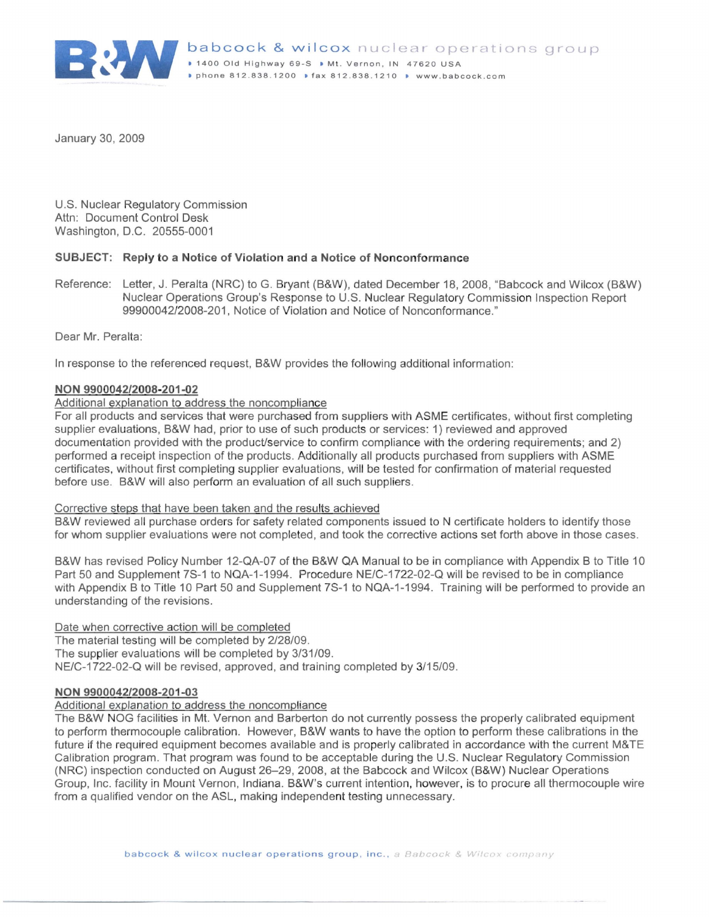

January 30, 2009

U.S. Nuclear Regulatory Commission Attn: Document Control Desk Washington, D.C. 20555-0001

## **SUBJECT: Reply to a Notice of Violation and a Notice of Nonconform ance**

Reference: Letter, J. Peralta (NRC) to G. Bryant (B&W), dated Decem ber 18, 2008, "Babcock and Wilcox (B&W) Nuclear Operations Group's Response to U.S. Nuclear Regulatory Commission Inspection Report 99900042/2008-201 , Notice of Violation and Notice of Nonconformance."

Dear Mr. Peralta:

In response to the referenced request, B&W provides the following additional information:

## **NON 990 0042/2008-201-02**

# Additional explanation to address the noncompliance

For all products and services that were purchased from suppliers with ASME certificates, without first completing supplier evaluations, B&W had, prior to use of such products or services : 1) reviewed and approved documentation provided with the product/service to confirm compliance with the ordering requirements; and 2) performed a receipt inspection of the products. Additionally all products purchased from suppliers with ASME certificates, without first completing supplier evaluations, will be tested for confirmation of material requested before use. B&W will also perform an evaluation of all such suppliers.

#### Corrective steps that have been taken and the results achieved

B&W reviewed all purchase orders for safety related components issued to N certificate holders to identify those for whom supplier evaluations were not completed, and took the corrective actions set forth above in those cases.

B&W has revised Policy Number 12-QA-07 of the B&W QA Manual to be in compliance with Appendix B to Title 10 Part 50 and Supplement 7S-1 to NQA-1-1994. Procedure NE/C-1722-02-Q will be revised to be in compliance with Appendix B to Title 10 Part 50 and Supplement 7S-1 to NQA-1-1994. Training will be performed to provide an understanding of the revisions.

Date when corrective action will be completed

The material testing will be completed by 2/28/09. The supplier evaluations will be completed by 3/31/09. NE/C-1722-02-Q will be revised, approved, and training completed by 3/15/09.

### **NON 9900042/2008-201-03**

### Additional explanation to address the noncompliance

The B&W NOG facilities in Mt. Vernon and Barberton do not currently possess the properly calibrated equipment to perform thermocouple calibration. However, B&W wants to have the option to perform these calibrations in the future if the required equipment becomes available and is properly calibrated in accordance with the current M&TE Calibration program. That program was found to be acceptable during the U.S. Nuclear Regulatory Commission (NRC) inspection conducted on August 26-29, 2008, at the Babcock and Wilcox (B&W) Nuclear Operations Group, Inc. facility in Mount Vernon, Indiana. B&W's current intention, however, is to procure all thermocouple wire from a qualified vendor on the ASL, making independent testing unnecessary.